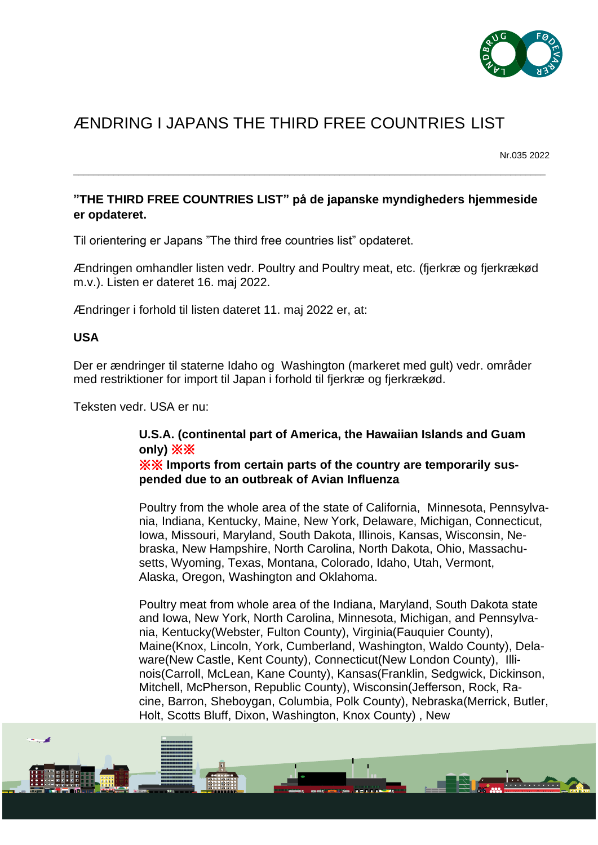

## ÆNDRING I JAPANS THE THIRD FREE COUNTRIES LIST

Nr.035 2022

<u> Thomas An</u>

## **"THE THIRD FREE COUNTRIES LIST" på de japanske myndigheders hjemmeside er opdateret.**

\_\_\_\_\_\_\_\_\_\_\_\_\_\_\_\_\_\_\_\_\_\_\_\_\_\_\_\_\_\_\_\_\_\_\_\_\_\_\_\_\_\_\_\_\_\_\_\_\_\_\_\_\_\_\_\_\_\_\_\_\_\_\_\_\_\_\_\_\_\_\_\_\_\_\_\_\_\_\_\_\_\_\_\_\_\_\_\_\_\_\_\_\_\_

Til orientering er Japans "The third free countries list" opdateret.

Ændringen omhandler listen vedr. Poultry and Poultry meat, etc. (fjerkræ og fjerkrækød m.v.). Listen er dateret 16. maj 2022.

Ændringer i forhold til listen dateret 11. maj 2022 er, at:

## **USA**

فيرد

Der er ændringer til staterne Idaho og Washington (markeret med gult) vedr. områder med restriktioner for import til Japan i forhold til fjerkræ og fjerkrækød.

Teksten vedr. USA er nu:

## **U.S.A. (continental part of America, the Hawaiian Islands and Guam only)** ※※

※※ **Imports from certain parts of the country are temporarily suspended due to an outbreak of Avian Influenza**

Poultry from the whole area of the state of California, Minnesota, Pennsylvania, Indiana, Kentucky, Maine, New York, Delaware, Michigan, Connecticut, Iowa, Missouri, Maryland, South Dakota, Illinois, Kansas, Wisconsin, Nebraska, New Hampshire, North Carolina, North Dakota, Ohio, Massachusetts, Wyoming, Texas, Montana, Colorado, Idaho, Utah, Vermont, Alaska, Oregon, Washington and Oklahoma.

Poultry meat from whole area of the Indiana, Maryland, South Dakota state and Iowa, New York, North Carolina, Minnesota, Michigan, and Pennsylvania, Kentucky(Webster, Fulton County), Virginia(Fauquier County), Maine(Knox, Lincoln, York, Cumberland, Washington, Waldo County), Delaware(New Castle, Kent County), Connecticut(New London County), Illinois(Carroll, McLean, Kane County), Kansas(Franklin, Sedgwick, Dickinson, Mitchell, McPherson, Republic County), Wisconsin(Jefferson, Rock, Racine, Barron, Sheboygan, Columbia, Polk County), Nebraska(Merrick, Butler, Holt, Scotts Bluff, Dixon, Washington, Knox County) , New